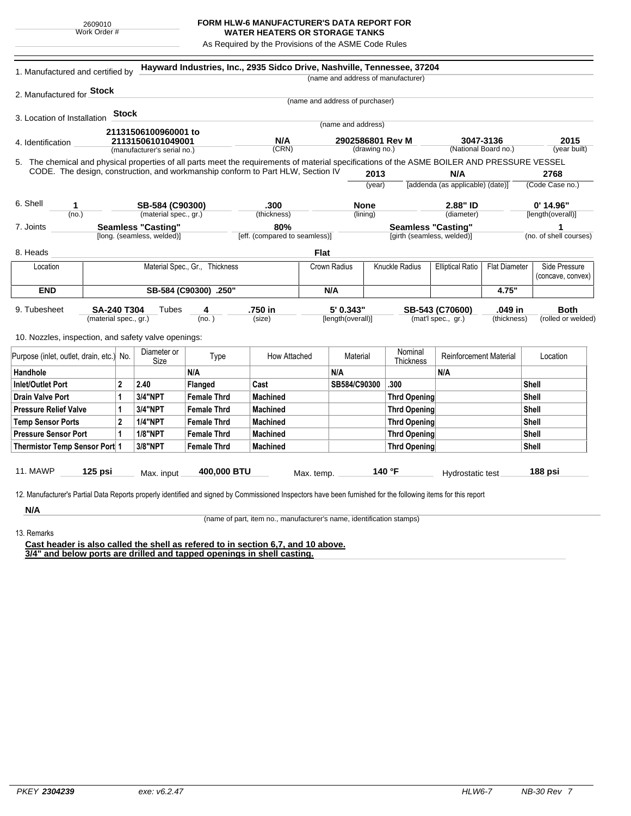## **FORM HLW-6 MANUFACTURER'S DATA REPORT FOR WATER HEATERS OR STORAGE TANKS**

As Required by the Provisions of the ASME Code Rules

|                                                                                                                                                                                                                                 | 1. Manufactured and certified by |                   |                             |                                | Hayward Industries, Inc., 2935 Sidco Drive, Nashville, Tennessee, 37204 |             |                                 |               |                                           |                                   |                      |                        |
|---------------------------------------------------------------------------------------------------------------------------------------------------------------------------------------------------------------------------------|----------------------------------|-------------------|-----------------------------|--------------------------------|-------------------------------------------------------------------------|-------------|---------------------------------|---------------|-------------------------------------------|-----------------------------------|----------------------|------------------------|
|                                                                                                                                                                                                                                 |                                  |                   |                             |                                |                                                                         |             |                                 |               | (name and address of manufacturer)        |                                   |                      |                        |
| 2. Manufactured for <b>Stock</b>                                                                                                                                                                                                |                                  |                   |                             |                                |                                                                         |             |                                 |               |                                           |                                   |                      |                        |
|                                                                                                                                                                                                                                 |                                  |                   |                             |                                |                                                                         |             | (name and address of purchaser) |               |                                           |                                   |                      |                        |
| 3. Location of Installation                                                                                                                                                                                                     |                                  | <b>Stock</b>      |                             |                                |                                                                         |             |                                 |               |                                           |                                   |                      |                        |
|                                                                                                                                                                                                                                 |                                  |                   | 21131506100960001 to        |                                | (name and address)                                                      |             |                                 |               |                                           |                                   |                      |                        |
| 4. Identification                                                                                                                                                                                                               |                                  | 21131506101049001 |                             |                                | N/A                                                                     |             | 2902586801 Rev M                |               | 3047-3136<br>(National Board no.)         |                                   | 2015                 |                        |
|                                                                                                                                                                                                                                 |                                  |                   | (manufacturer's serial no.) |                                | (CRN)                                                                   |             |                                 | (drawing no.) |                                           |                                   |                      | (year built)           |
| 5. The chemical and physical properties of all parts meet the requirements of material specifications of the ASME BOILER AND PRESSURE VESSEL<br>CODE. The design, construction, and workmanship conform to Part HLW, Section IV |                                  |                   |                             |                                |                                                                         |             |                                 |               |                                           |                                   |                      |                        |
|                                                                                                                                                                                                                                 |                                  |                   |                             |                                |                                                                         |             |                                 | 2013          |                                           | N/A                               |                      | 2768                   |
|                                                                                                                                                                                                                                 |                                  |                   |                             |                                |                                                                         |             |                                 | (year)        |                                           | [addenda (as applicable) (date)]  |                      | (Code Case no.)        |
| 6. Shell<br>1                                                                                                                                                                                                                   |                                  |                   | SB-584 (C90300)             |                                | .300                                                                    |             | <b>None</b>                     |               |                                           | 2.88" ID                          |                      | $0'$ 14.96"            |
| (no.)                                                                                                                                                                                                                           |                                  |                   | (material spec., gr.)       |                                | (thickness)                                                             |             | (lining)                        |               |                                           | (diameter)                        |                      | [length(overall)]      |
| 7. Joints                                                                                                                                                                                                                       | <b>Seamless "Casting"</b><br>80% |                   |                             |                                | <b>Seamless "Casting"</b>                                               |             |                                 | 1             |                                           |                                   |                      |                        |
|                                                                                                                                                                                                                                 |                                  |                   | [long. (seamless, welded)]  |                                | [eff. (compared to seamless)]                                           |             |                                 |               | [girth (seamless, welded)]                |                                   |                      | (no. of shell courses) |
| 8. Heads                                                                                                                                                                                                                        |                                  |                   |                             |                                |                                                                         | <b>Flat</b> |                                 |               |                                           |                                   |                      |                        |
| Location                                                                                                                                                                                                                        |                                  |                   |                             | Material Spec., Gr., Thickness |                                                                         |             | Crown Radius                    |               | Knuckle Radius<br><b>Elliptical Ratio</b> |                                   | <b>Flat Diameter</b> | Side Pressure          |
|                                                                                                                                                                                                                                 |                                  |                   |                             |                                |                                                                         |             |                                 |               |                                           |                                   | (concave, convex)    |                        |
| <b>END</b>                                                                                                                                                                                                                      | SB-584 (C90300) .250"            |                   |                             |                                |                                                                         |             | N/A                             |               |                                           |                                   | 4.75"                |                        |
| 9. Tubesheet                                                                                                                                                                                                                    | <b>SA-240 T304</b>               |                   | Tubes                       | 4                              | .750 in                                                                 |             | 5' 0.343"                       |               |                                           | SB-543 (C70600)                   | .049 in              | <b>Both</b>            |
| (material spec., gr.)                                                                                                                                                                                                           |                                  |                   | (no.)                       |                                | (size)                                                                  |             | [length(overall)]               |               |                                           | (mat'l spec., gr.)<br>(thickness) |                      | (rolled or welded)     |
|                                                                                                                                                                                                                                 |                                  |                   |                             |                                |                                                                         |             |                                 |               |                                           |                                   |                      |                        |
| 10. Nozzles, inspection, and safety valve openings:                                                                                                                                                                             |                                  |                   |                             |                                |                                                                         |             |                                 |               |                                           |                                   |                      |                        |
| Purpose (inlet, outlet, drain, etc.) No.                                                                                                                                                                                        |                                  |                   | Diameter or                 | Type                           | How Attached                                                            |             | Material                        |               | Nominal                                   | <b>Reinforcement Material</b>     |                      | Location               |
| Handhole                                                                                                                                                                                                                        |                                  |                   | Size                        | N/A                            |                                                                         |             | N/A                             |               | Thickness                                 | N/A                               |                      |                        |
| Inlet/Outlet Port                                                                                                                                                                                                               |                                  | $\mathbf{2}$      | 2.40                        | Flanged                        | Cast                                                                    |             | SB584/C90300                    |               | .300                                      |                                   |                      | Shell                  |
| <b>Drain Valve Port</b>                                                                                                                                                                                                         |                                  | 1                 | 3/4"NPT                     | <b>Female Thrd</b>             | <b>Machined</b>                                                         |             |                                 |               | <b>Thrd Opening</b>                       |                                   |                      | Shell                  |
| <b>Pressure Relief Valve</b>                                                                                                                                                                                                    |                                  | 1                 | 3/4"NPT                     | <b>Female Thrd</b>             | Machined                                                                |             |                                 |               | <b>Thrd Opening</b>                       |                                   |                      | Shell                  |
| <b>Temp Sensor Ports</b>                                                                                                                                                                                                        |                                  | $\mathbf{2}$      | <b>1/4"NPT</b>              | <b>Female Thrd</b>             | <b>Machined</b>                                                         |             |                                 |               | <b>Thrd Opening</b>                       |                                   |                      | Shell                  |
| <b>Pressure Sensor Port</b>                                                                                                                                                                                                     |                                  | 1                 | <b>1/8"NPT</b>              | <b>Female Thrd</b>             | <b>Machined</b>                                                         |             |                                 |               | <b>Thrd Opening</b>                       |                                   |                      | Shell                  |
| Thermistor Temp Sensor Port 1                                                                                                                                                                                                   |                                  |                   | 3/8"NPT                     | <b>Female Thrd</b>             | <b>Machined</b>                                                         |             |                                 |               | <b>Thrd Opening</b>                       |                                   |                      | Shell                  |
|                                                                                                                                                                                                                                 |                                  |                   |                             |                                |                                                                         |             |                                 |               |                                           |                                   |                      |                        |
|                                                                                                                                                                                                                                 |                                  |                   |                             |                                |                                                                         |             |                                 |               | 140 °F                                    |                                   |                      | 188 psi                |
| <b>11. MAWP</b>                                                                                                                                                                                                                 | $125$ psi                        |                   |                             | 400,000 BTU                    |                                                                         |             |                                 |               |                                           |                                   |                      |                        |
|                                                                                                                                                                                                                                 |                                  |                   | Max. input                  |                                |                                                                         | Max. temp.  |                                 |               |                                           | Hydrostatic test                  |                      |                        |
| 12. Manufacturer's Partial Data Reports properly identified and signed by Commissioned Inspectors have been furnished for the following items for this report                                                                   |                                  |                   |                             |                                |                                                                         |             |                                 |               |                                           |                                   |                      |                        |

13. Remarks

(name of part, item no., manufacturer's name, identification stamps)

**Cast header is also called the shell as refered to in section 6,7, and 10 above. 3/4" and below ports are drilled and tapped openings in shell casting.**